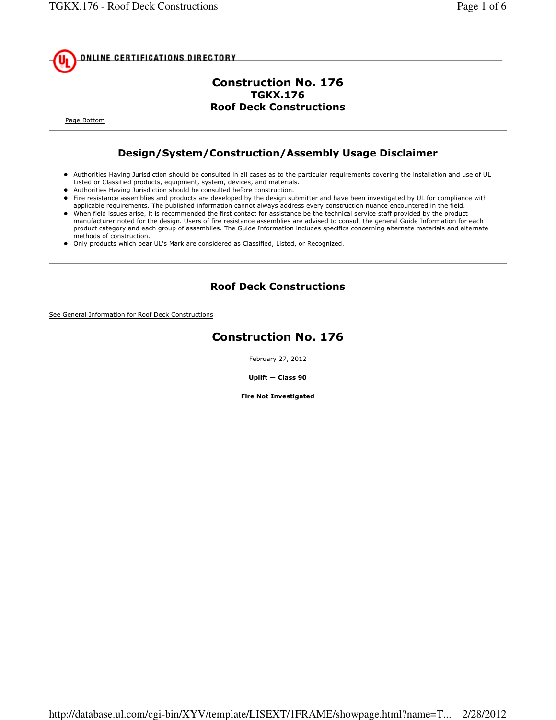

### Construction No. 176 TGKX.176 Roof Deck Constructions

Page Bottom

# Design/System/Construction/Assembly Usage Disclaimer

- Authorities Having Jurisdiction should be consulted in all cases as to the particular requirements covering the installation and use of UL Listed or Classified products, equipment, system, devices, and materials.
- Authorities Having Jurisdiction should be consulted before construction.
- Fire resistance assemblies and products are developed by the design submitter and have been investigated by UL for compliance with applicable requirements. The published information cannot always address every construction nuance encountered in the field.
- When field issues arise, it is recommended the first contact for assistance be the technical service staff provided by the product manufacturer noted for the design. Users of fire resistance assemblies are advised to consult the general Guide Information for each product category and each group of assemblies. The Guide Information includes specifics concerning alternate materials and alternate methods of construction.
- Only products which bear UL's Mark are considered as Classified, Listed, or Recognized.

### Roof Deck Constructions

See General Information for Roof Deck Constructions

# Construction No. 176

February 27, 2012

Uplift — Class 90

Fire Not Investigated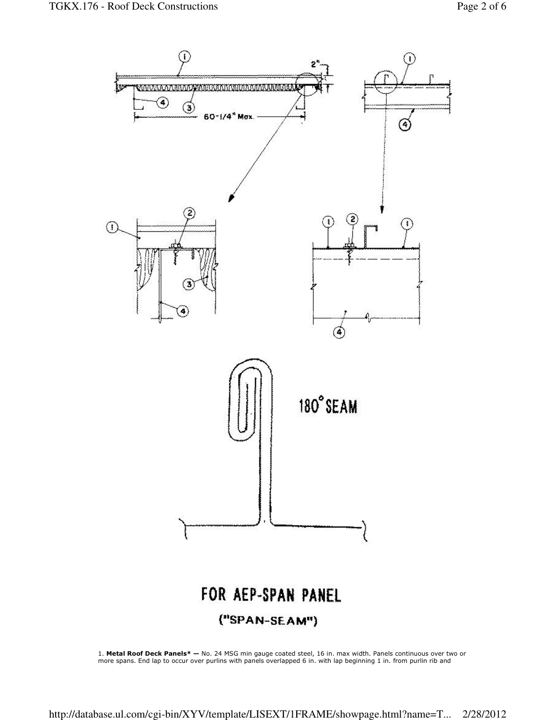

1. Metal Roof Deck Panels\* — No. 24 MSG min gauge coated steel, 16 in. max width. Panels continuous over two or more spans. End lap to occur over purlins with panels overlapped 6 in. with lap beginning 1 in. from purlin rib and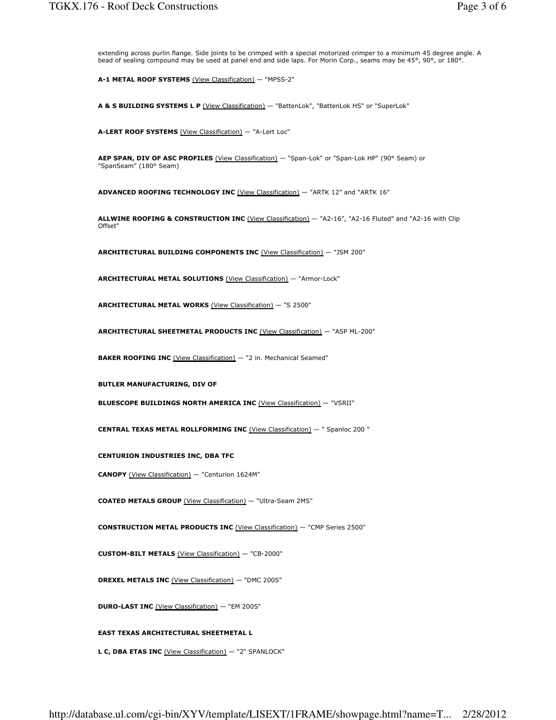extending across purlin flange. Side joints to be crimped with a special motorized crimper to a minimum 45 degree angle. A bead of sealing compound may be used at panel end and side laps. For Morin Corp., seams may be 45°, 90°, or 180°.

A-1 METAL ROOF SYSTEMS (View Classification) - "MPSS-2"

A & S BUILDING SYSTEMS L P (View Classification) - "BattenLok", "BattenLok HS" or "SuperLok"

A-LERT ROOF SYSTEMS (View Classification) — "A-Lert Loc"

AEP SPAN, DIV OF ASC PROFILES (View Classification) - "Span-Lok" or "Span-Lok HP" (90° Seam) or "SpanSeam" (180° Seam)

ADVANCED ROOFING TECHNOLOGY INC (View Classification) — "ARTK 12" and "ARTK 16"

ALLWINE ROOFING & CONSTRUCTION INC (View Classification) - "A2-16", "A2-16 Fluted" and "A2-16 with Clip Offset"

ARCHITECTURAL BUILDING COMPONENTS INC (View Classification) — "JSM 200"

ARCHITECTURAL METAL SOLUTIONS (View Classification) — "Armor-Lock"

ARCHITECTURAL METAL WORKS (View Classification) — "S 2500"

ARCHITECTURAL SHEETMETAL PRODUCTS INC (View Classification) — "ASP ML-200"

BAKER ROOFING INC (View Classification) - "2 in. Mechanical Seamed"

BUTLER MANUFACTURING, DIV OF

BLUESCOPE BUILDINGS NORTH AMERICA INC (View Classification) - "VSRII"

CENTRAL TEXAS METAL ROLLFORMING INC (View Classification) — " Spanloc 200 "

CENTURION INDUSTRIES INC, DBA TFC

CANOPY (View Classification) — "Centurion 1624M"

COATED METALS GROUP (View Classification) — "Ultra-Seam 2MS"

CONSTRUCTION METAL PRODUCTS INC (View Classification) — "CMP Series 2500"

CUSTOM-BILT METALS (View Classification) — "CB-2000"

DREXEL METALS INC (View Classification) - "DMC 200S"

DURO-LAST INC (View Classification) — "EM 200S"

EAST TEXAS ARCHITECTURAL SHEETMETAL L

L C, DBA ETAS INC (View Classification) - "2" SPANLOCK"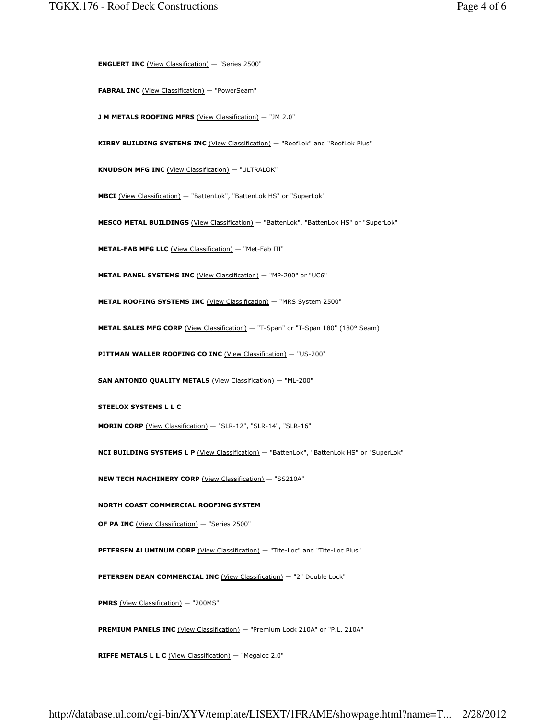ENGLERT INC (View Classification) — "Series 2500"

FABRAL INC (View Classification) - "PowerSeam"

J M METALS ROOFING MFRS (View Classification) - "JM 2.0"

KIRBY BUILDING SYSTEMS INC (View Classification) - "RoofLok" and "RoofLok Plus"

KNUDSON MFG INC (View Classification) — "ULTRALOK"

MBCI (View Classification) — "BattenLok", "BattenLok HS" or "SuperLok"

MESCO METAL BUILDINGS (View Classification) — "BattenLok", "BattenLok HS" or "SuperLok"

METAL-FAB MFG LLC (View Classification) — "Met-Fab III"

METAL PANEL SYSTEMS INC (View Classification) - "MP-200" or "UC6"

METAL ROOFING SYSTEMS INC (View Classification) - "MRS System 2500"

METAL SALES MFG CORP (View Classification) - "T-Span" or "T-Span 180" (180° Seam)

PITTMAN WALLER ROOFING CO INC (View Classification) - "US-200"

SAN ANTONIO QUALITY METALS (View Classification) - "ML-200"

STEELOX SYSTEMS L L C

MORIN CORP (View Classification) — "SLR-12", "SLR-14", "SLR-16"

NCI BUILDING SYSTEMS L P (View Classification) - "BattenLok", "BattenLok HS" or "SuperLok"

NEW TECH MACHINERY CORP (View Classification) — "SS210A"

NORTH COAST COMMERCIAL ROOFING SYSTEM

OF PA INC (View Classification) - "Series 2500"

PETERSEN ALUMINUM CORP (View Classification) - "Tite-Loc" and "Tite-Loc Plus"

PETERSEN DEAN COMMERCIAL INC (View Classification) - "2" Double Lock"

PMRS (View Classification) - "200MS"

PREMIUM PANELS INC (View Classification) - "Premium Lock 210A" or "P.L. 210A"

RIFFE METALS L L C (View Classification) - "Megaloc 2.0"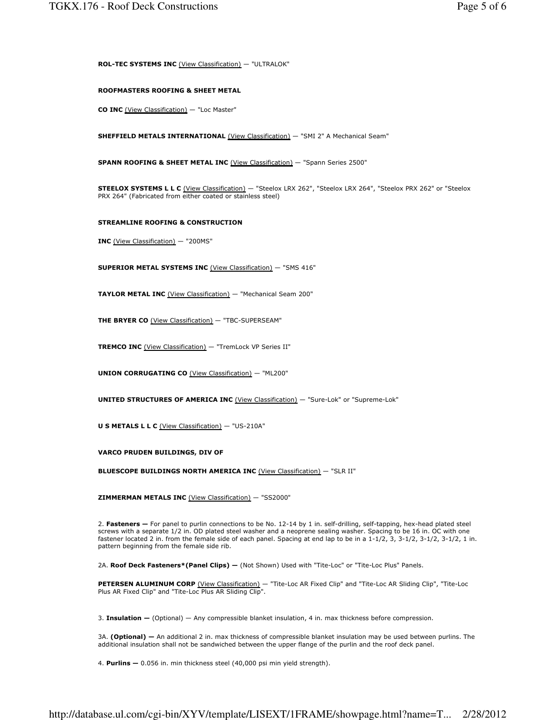ROL-TEC SYSTEMS INC (View Classification) — "ULTRALOK"

#### ROOFMASTERS ROOFING & SHEET METAL

CO INC (View Classification) — "Loc Master"

SHEFFIELD METALS INTERNATIONAL (View Classification) - "SMI 2" A Mechanical Seam"

SPANN ROOFING & SHEET METAL INC (View Classification) — "Spann Series 2500"

STEELOX SYSTEMS L L C (View Classification) — "Steelox LRX 262", "Steelox LRX 264", "Steelox PRX 262" or "Steelox PRX 264" (Fabricated from either coated or stainless steel)

#### STREAMLINE ROOFING & CONSTRUCTION

INC (View Classification) — "200MS"

SUPERIOR METAL SYSTEMS INC (View Classification) — "SMS 416"

TAYLOR METAL INC (View Classification) - "Mechanical Seam 200"

THE BRYER CO (View Classification) - "TBC-SUPERSEAM"

TREMCO INC (View Classification) — "TremLock VP Series II"

UNION CORRUGATING CO (View Classification) — "ML200"

UNITED STRUCTURES OF AMERICA INC (View Classification) — "Sure-Lok" or "Supreme-Lok"

U S METALS L L C (View Classification) — "US-210A"

VARCO PRUDEN BUILDINGS, DIV OF

BLUESCOPE BUILDINGS NORTH AMERICA INC (View Classification) — "SLR II"

ZIMMERMAN METALS INC (View Classification) — "SS2000"

2. Fasteners - For panel to purlin connections to be No. 12-14 by 1 in. self-drilling, self-tapping, hex-head plated steel screws with a separate 1/2 in. OD plated steel washer and a neoprene sealing washer. Spacing to be 16 in. OC with one fastener located 2 in. from the female side of each panel. Spacing at end lap to be in a 1-1/2, 3, 3-1/2, 3-1/2, 3-1/2, 1 in. pattern beginning from the female side rib.

2A. Roof Deck Fasteners\*(Panel Clips) — (Not Shown) Used with "Tite-Loc" or "Tite-Loc Plus" Panels.

PETERSEN ALUMINUM CORP (View Classification) — "Tite-Loc AR Fixed Clip" and "Tite-Loc AR Sliding Clip", "Tite-Loc Plus AR Fixed Clip" and "Tite-Loc Plus AR Sliding Clip".

3. Insulation  $-$  (Optional)  $-$  Any compressible blanket insulation, 4 in. max thickness before compression.

3A. (Optional) — An additional 2 in. max thickness of compressible blanket insulation may be used between purlins. The additional insulation shall not be sandwiched between the upper flange of the purlin and the roof deck panel.

4. Purlins — 0.056 in. min thickness steel (40,000 psi min yield strength).